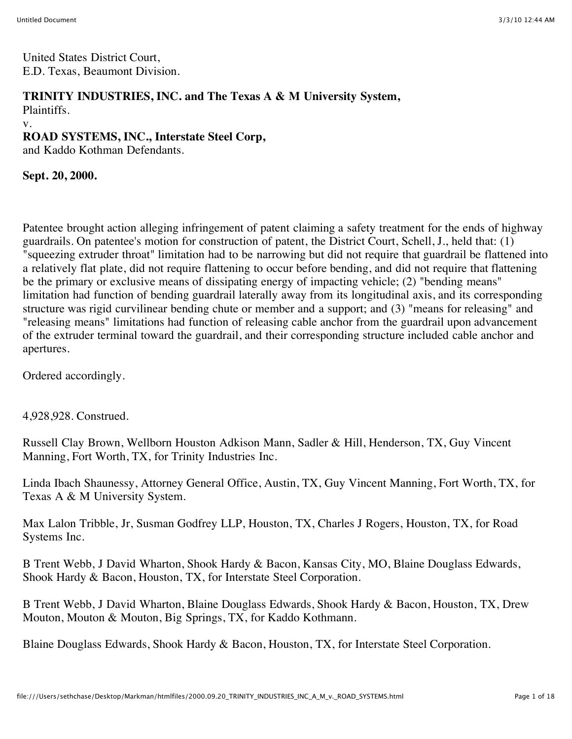United States District Court, E.D. Texas, Beaumont Division.

## **TRINITY INDUSTRIES, INC. and The Texas A & M University System,**

Plaintiffs.

v.

### **ROAD SYSTEMS, INC., Interstate Steel Corp,**

and Kaddo Kothman Defendants.

**Sept. 20, 2000.**

Patentee brought action alleging infringement of patent claiming a safety treatment for the ends of highway guardrails. On patentee's motion for construction of patent, the District Court, Schell, J., held that: (1) "squeezing extruder throat" limitation had to be narrowing but did not require that guardrail be flattened into a relatively flat plate, did not require flattening to occur before bending, and did not require that flattening be the primary or exclusive means of dissipating energy of impacting vehicle; (2) "bending means" limitation had function of bending guardrail laterally away from its longitudinal axis, and its corresponding structure was rigid curvilinear bending chute or member and a support; and (3) "means for releasing" and "releasing means" limitations had function of releasing cable anchor from the guardrail upon advancement of the extruder terminal toward the guardrail, and their corresponding structure included cable anchor and apertures.

Ordered accordingly.

4,928,928. Construed.

Russell Clay Brown, Wellborn Houston Adkison Mann, Sadler & Hill, Henderson, TX, Guy Vincent Manning, Fort Worth, TX, for Trinity Industries Inc.

Linda Ibach Shaunessy, Attorney General Office, Austin, TX, Guy Vincent Manning, Fort Worth, TX, for Texas A & M University System.

Max Lalon Tribble, Jr, Susman Godfrey LLP, Houston, TX, Charles J Rogers, Houston, TX, for Road Systems Inc.

B Trent Webb, J David Wharton, Shook Hardy & Bacon, Kansas City, MO, Blaine Douglass Edwards, Shook Hardy & Bacon, Houston, TX, for Interstate Steel Corporation.

B Trent Webb, J David Wharton, Blaine Douglass Edwards, Shook Hardy & Bacon, Houston, TX, Drew Mouton, Mouton & Mouton, Big Springs, TX, for Kaddo Kothmann.

Blaine Douglass Edwards, Shook Hardy & Bacon, Houston, TX, for Interstate Steel Corporation.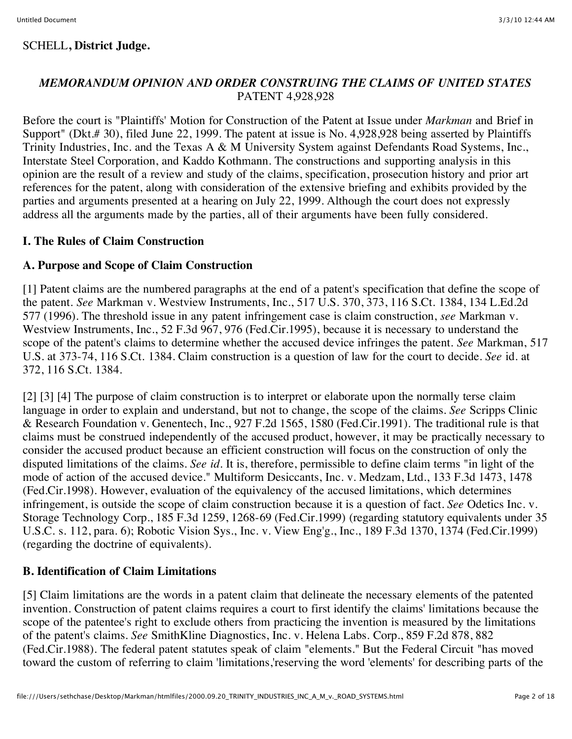### *MEMORANDUM OPINION AND ORDER CONSTRUING THE CLAIMS OF UNITED STATES* PATENT 4,928,928

Before the court is "Plaintiffs' Motion for Construction of the Patent at Issue under *Markman* and Brief in Support" (Dkt.# 30), filed June 22, 1999. The patent at issue is No. 4,928,928 being asserted by Plaintiffs Trinity Industries, Inc. and the Texas A & M University System against Defendants Road Systems, Inc., Interstate Steel Corporation, and Kaddo Kothmann. The constructions and supporting analysis in this opinion are the result of a review and study of the claims, specification, prosecution history and prior art references for the patent, along with consideration of the extensive briefing and exhibits provided by the parties and arguments presented at a hearing on July 22, 1999. Although the court does not expressly address all the arguments made by the parties, all of their arguments have been fully considered.

### **I. The Rules of Claim Construction**

### **A. Purpose and Scope of Claim Construction**

[1] Patent claims are the numbered paragraphs at the end of a patent's specification that define the scope of the patent. *See* Markman v. Westview Instruments, Inc., 517 U.S. 370, 373, 116 S.Ct. 1384, 134 L.Ed.2d 577 (1996). The threshold issue in any patent infringement case is claim construction, *see* Markman v. Westview Instruments, Inc., 52 F.3d 967, 976 (Fed.Cir.1995), because it is necessary to understand the scope of the patent's claims to determine whether the accused device infringes the patent. *See* Markman, 517 U.S. at 373-74, 116 S.Ct. 1384. Claim construction is a question of law for the court to decide. *See* id. at 372, 116 S.Ct. 1384.

[2] [3] [4] The purpose of claim construction is to interpret or elaborate upon the normally terse claim language in order to explain and understand, but not to change, the scope of the claims. *See* Scripps Clinic & Research Foundation v. Genentech, Inc., 927 F.2d 1565, 1580 (Fed.Cir.1991). The traditional rule is that claims must be construed independently of the accused product, however, it may be practically necessary to consider the accused product because an efficient construction will focus on the construction of only the disputed limitations of the claims. *See id.* It is, therefore, permissible to define claim terms "in light of the mode of action of the accused device." Multiform Desiccants, Inc. v. Medzam, Ltd., 133 F.3d 1473, 1478 (Fed.Cir.1998). However, evaluation of the equivalency of the accused limitations, which determines infringement, is outside the scope of claim construction because it is a question of fact. *See* Odetics Inc. v. Storage Technology Corp., 185 F.3d 1259, 1268-69 (Fed.Cir.1999) (regarding statutory equivalents under 35 U.S.C. s. 112, para. 6); Robotic Vision Sys., Inc. v. View Eng'g., Inc., 189 F.3d 1370, 1374 (Fed.Cir.1999) (regarding the doctrine of equivalents).

## **B. Identification of Claim Limitations**

[5] Claim limitations are the words in a patent claim that delineate the necessary elements of the patented invention. Construction of patent claims requires a court to first identify the claims' limitations because the scope of the patentee's right to exclude others from practicing the invention is measured by the limitations of the patent's claims. *See* SmithKline Diagnostics, Inc. v. Helena Labs. Corp., 859 F.2d 878, 882 (Fed.Cir.1988). The federal patent statutes speak of claim "elements." But the Federal Circuit "has moved toward the custom of referring to claim 'limitations,'reserving the word 'elements' for describing parts of the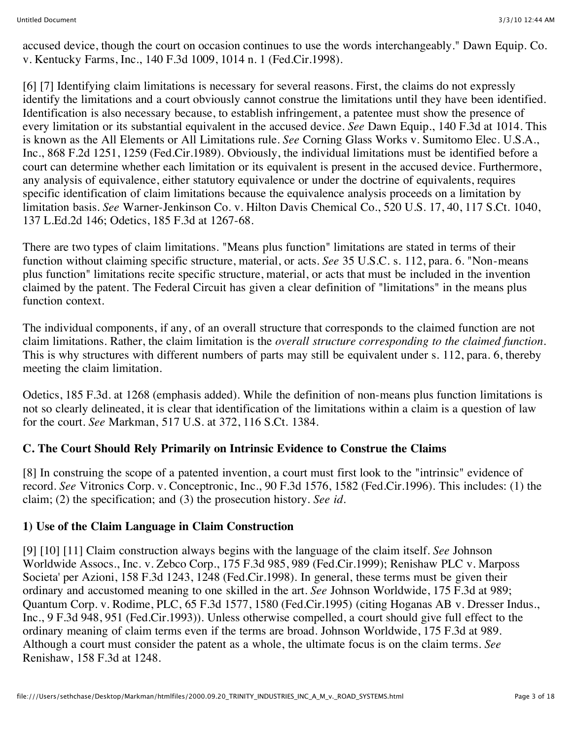accused device, though the court on occasion continues to use the words interchangeably." Dawn Equip. Co. v. Kentucky Farms, Inc., 140 F.3d 1009, 1014 n. 1 (Fed.Cir.1998).

[6] [7] Identifying claim limitations is necessary for several reasons. First, the claims do not expressly identify the limitations and a court obviously cannot construe the limitations until they have been identified. Identification is also necessary because, to establish infringement, a patentee must show the presence of every limitation or its substantial equivalent in the accused device. *See* Dawn Equip., 140 F.3d at 1014. This is known as the All Elements or All Limitations rule. *See* Corning Glass Works v. Sumitomo Elec. U.S.A., Inc., 868 F.2d 1251, 1259 (Fed.Cir.1989). Obviously, the individual limitations must be identified before a court can determine whether each limitation or its equivalent is present in the accused device. Furthermore, any analysis of equivalence, either statutory equivalence or under the doctrine of equivalents, requires specific identification of claim limitations because the equivalence analysis proceeds on a limitation by limitation basis. *See* Warner-Jenkinson Co. v. Hilton Davis Chemical Co., 520 U.S. 17, 40, 117 S.Ct. 1040, 137 L.Ed.2d 146; Odetics, 185 F.3d at 1267-68.

There are two types of claim limitations. "Means plus function" limitations are stated in terms of their function without claiming specific structure, material, or acts. *See* 35 U.S.C. s. 112, para. 6. "Non-means plus function" limitations recite specific structure, material, or acts that must be included in the invention claimed by the patent. The Federal Circuit has given a clear definition of "limitations" in the means plus function context.

The individual components, if any, of an overall structure that corresponds to the claimed function are not claim limitations. Rather, the claim limitation is the *overall structure corresponding to the claimed function.* This is why structures with different numbers of parts may still be equivalent under s. 112, para. 6, thereby meeting the claim limitation.

Odetics, 185 F.3d. at 1268 (emphasis added). While the definition of non-means plus function limitations is not so clearly delineated, it is clear that identification of the limitations within a claim is a question of law for the court. *See* Markman, 517 U.S. at 372, 116 S.Ct. 1384.

## **C. The Court Should Rely Primarily on Intrinsic Evidence to Construe the Claims**

[8] In construing the scope of a patented invention, a court must first look to the "intrinsic" evidence of record. *See* Vitronics Corp. v. Conceptronic, Inc., 90 F.3d 1576, 1582 (Fed.Cir.1996). This includes: (1) the claim; (2) the specification; and (3) the prosecution history. *See id.*

## **1) Use of the Claim Language in Claim Construction**

[9] [10] [11] Claim construction always begins with the language of the claim itself. *See* Johnson Worldwide Assocs., Inc. v. Zebco Corp., 175 F.3d 985, 989 (Fed.Cir.1999); Renishaw PLC v. Marposs Societa' per Azioni, 158 F.3d 1243, 1248 (Fed.Cir.1998). In general, these terms must be given their ordinary and accustomed meaning to one skilled in the art. *See* Johnson Worldwide, 175 F.3d at 989; Quantum Corp. v. Rodime, PLC, 65 F.3d 1577, 1580 (Fed.Cir.1995) (citing Hoganas AB v. Dresser Indus., Inc., 9 F.3d 948, 951 (Fed.Cir.1993)). Unless otherwise compelled, a court should give full effect to the ordinary meaning of claim terms even if the terms are broad. Johnson Worldwide, 175 F.3d at 989. Although a court must consider the patent as a whole, the ultimate focus is on the claim terms. *See* Renishaw, 158 F.3d at 1248.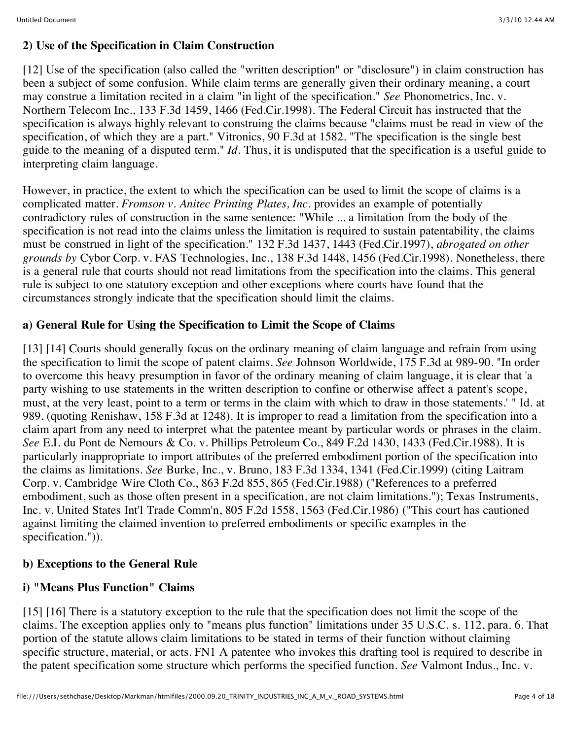### **2) Use of the Specification in Claim Construction**

[12] Use of the specification (also called the "written description" or "disclosure") in claim construction has been a subject of some confusion. While claim terms are generally given their ordinary meaning, a court may construe a limitation recited in a claim "in light of the specification." *See* Phonometrics, Inc. v. Northern Telecom Inc., 133 F.3d 1459, 1466 (Fed.Cir.1998). The Federal Circuit has instructed that the specification is always highly relevant to construing the claims because "claims must be read in view of the specification, of which they are a part." Vitronics, 90 F.3d at 1582. "The specification is the single best guide to the meaning of a disputed term." *Id.* Thus, it is undisputed that the specification is a useful guide to interpreting claim language.

However, in practice, the extent to which the specification can be used to limit the scope of claims is a complicated matter. *Fromson v. Anitec Printing Plates, Inc.* provides an example of potentially contradictory rules of construction in the same sentence: "While ... a limitation from the body of the specification is not read into the claims unless the limitation is required to sustain patentability, the claims must be construed in light of the specification." 132 F.3d 1437, 1443 (Fed.Cir.1997), *abrogated on other grounds by* Cybor Corp. v. FAS Technologies, Inc., 138 F.3d 1448, 1456 (Fed.Cir.1998). Nonetheless, there is a general rule that courts should not read limitations from the specification into the claims. This general rule is subject to one statutory exception and other exceptions where courts have found that the circumstances strongly indicate that the specification should limit the claims.

## **a) General Rule for Using the Specification to Limit the Scope of Claims**

[13] [14] Courts should generally focus on the ordinary meaning of claim language and refrain from using the specification to limit the scope of patent claims. *See* Johnson Worldwide, 175 F.3d at 989-90. "In order to overcome this heavy presumption in favor of the ordinary meaning of claim language, it is clear that 'a party wishing to use statements in the written description to confine or otherwise affect a patent's scope, must, at the very least, point to a term or terms in the claim with which to draw in those statements.' " Id. at 989. (quoting Renishaw, 158 F.3d at 1248). It is improper to read a limitation from the specification into a claim apart from any need to interpret what the patentee meant by particular words or phrases in the claim. *See* E.I. du Pont de Nemours & Co. v. Phillips Petroleum Co., 849 F.2d 1430, 1433 (Fed.Cir.1988). It is particularly inappropriate to import attributes of the preferred embodiment portion of the specification into the claims as limitations. *See* Burke, Inc., v. Bruno, 183 F.3d 1334, 1341 (Fed.Cir.1999) (citing Laitram Corp. v. Cambridge Wire Cloth Co., 863 F.2d 855, 865 (Fed.Cir.1988) ("References to a preferred embodiment, such as those often present in a specification, are not claim limitations."); Texas Instruments, Inc. v. United States Int'l Trade Comm'n, 805 F.2d 1558, 1563 (Fed.Cir.1986) ("This court has cautioned against limiting the claimed invention to preferred embodiments or specific examples in the specification.")).

## **b) Exceptions to the General Rule**

# **i) "Means Plus Function" Claims**

[15] [16] There is a statutory exception to the rule that the specification does not limit the scope of the claims. The exception applies only to "means plus function" limitations under 35 U.S.C. s. 112, para. 6. That portion of the statute allows claim limitations to be stated in terms of their function without claiming specific structure, material, or acts. FN1 A patentee who invokes this drafting tool is required to describe in the patent specification some structure which performs the specified function. *See* Valmont Indus., Inc. v.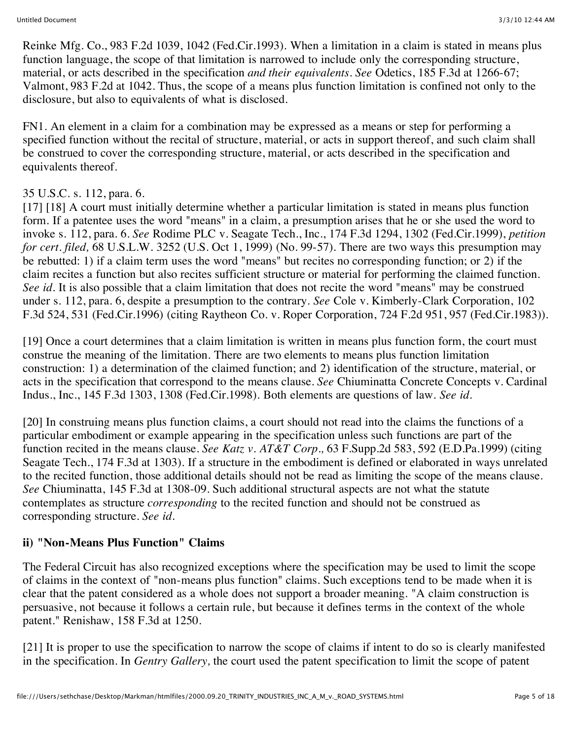Reinke Mfg. Co., 983 F.2d 1039, 1042 (Fed.Cir.1993). When a limitation in a claim is stated in means plus function language, the scope of that limitation is narrowed to include only the corresponding structure, material, or acts described in the specification *and their equivalents. See* Odetics, 185 F.3d at 1266-67; Valmont, 983 F.2d at 1042. Thus, the scope of a means plus function limitation is confined not only to the disclosure, but also to equivalents of what is disclosed.

FN1. An element in a claim for a combination may be expressed as a means or step for performing a specified function without the recital of structure, material, or acts in support thereof, and such claim shall be construed to cover the corresponding structure, material, or acts described in the specification and equivalents thereof.

### 35 U.S.C. s. 112, para. 6.

[17] [18] A court must initially determine whether a particular limitation is stated in means plus function form. If a patentee uses the word "means" in a claim, a presumption arises that he or she used the word to invoke s. 112, para. 6. *See* Rodime PLC v. Seagate Tech., Inc., 174 F.3d 1294, 1302 (Fed.Cir.1999), *petition for cert. filed,* 68 U.S.L.W. 3252 (U.S. Oct 1, 1999) (No. 99-57). There are two ways this presumption may be rebutted: 1) if a claim term uses the word "means" but recites no corresponding function; or 2) if the claim recites a function but also recites sufficient structure or material for performing the claimed function. *See id.* It is also possible that a claim limitation that does not recite the word "means" may be construed under s. 112, para. 6, despite a presumption to the contrary. *See* Cole v. Kimberly-Clark Corporation, 102 F.3d 524, 531 (Fed.Cir.1996) (citing Raytheon Co. v. Roper Corporation, 724 F.2d 951, 957 (Fed.Cir.1983)).

[19] Once a court determines that a claim limitation is written in means plus function form, the court must construe the meaning of the limitation. There are two elements to means plus function limitation construction: 1) a determination of the claimed function; and 2) identification of the structure, material, or acts in the specification that correspond to the means clause. *See* Chiuminatta Concrete Concepts v. Cardinal Indus., Inc., 145 F.3d 1303, 1308 (Fed.Cir.1998). Both elements are questions of law. *See id.*

[20] In construing means plus function claims, a court should not read into the claims the functions of a particular embodiment or example appearing in the specification unless such functions are part of the function recited in the means clause. *See Katz v. AT&T Corp.,* 63 F.Supp.2d 583, 592 (E.D.Pa.1999) (citing Seagate Tech., 174 F.3d at 1303). If a structure in the embodiment is defined or elaborated in ways unrelated to the recited function, those additional details should not be read as limiting the scope of the means clause. *See* Chiuminatta, 145 F.3d at 1308-09. Such additional structural aspects are not what the statute contemplates as structure *corresponding* to the recited function and should not be construed as corresponding structure. *See id.*

## **ii) "Non-Means Plus Function" Claims**

The Federal Circuit has also recognized exceptions where the specification may be used to limit the scope of claims in the context of "non-means plus function" claims. Such exceptions tend to be made when it is clear that the patent considered as a whole does not support a broader meaning. "A claim construction is persuasive, not because it follows a certain rule, but because it defines terms in the context of the whole patent." Renishaw, 158 F.3d at 1250.

[21] It is proper to use the specification to narrow the scope of claims if intent to do so is clearly manifested in the specification. In *Gentry Gallery,* the court used the patent specification to limit the scope of patent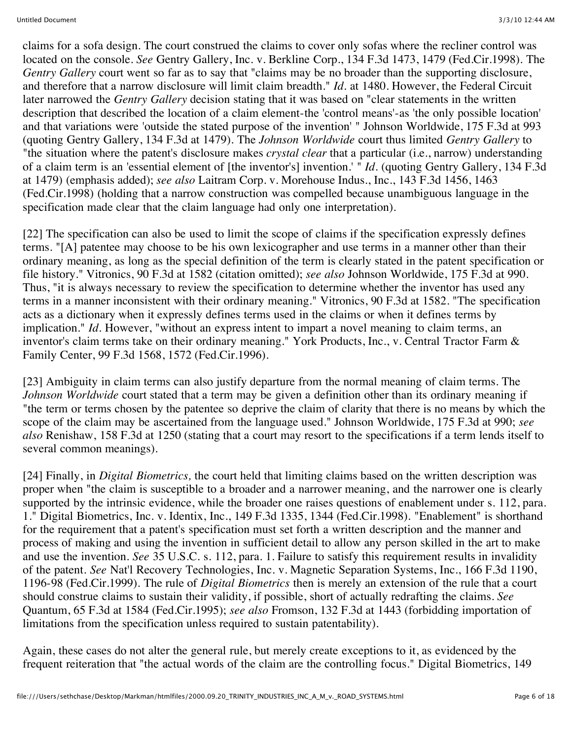claims for a sofa design. The court construed the claims to cover only sofas where the recliner control was located on the console. *See* Gentry Gallery, Inc. v. Berkline Corp., 134 F.3d 1473, 1479 (Fed.Cir.1998). The *Gentry Gallery* court went so far as to say that "claims may be no broader than the supporting disclosure, and therefore that a narrow disclosure will limit claim breadth." *Id.* at 1480. However, the Federal Circuit later narrowed the *Gentry Gallery* decision stating that it was based on "clear statements in the written description that described the location of a claim element-the 'control means'-as 'the only possible location' and that variations were 'outside the stated purpose of the invention' " Johnson Worldwide, 175 F.3d at 993 (quoting Gentry Gallery, 134 F.3d at 1479). The *Johnson Worldwide* court thus limited *Gentry Gallery* to "the situation where the patent's disclosure makes *crystal clear* that a particular (i.e., narrow) understanding of a claim term is an 'essential element of [the inventor's] invention.' " *Id.* (quoting Gentry Gallery, 134 F.3d at 1479) (emphasis added); *see also* Laitram Corp. v. Morehouse Indus., Inc., 143 F.3d 1456, 1463 (Fed.Cir.1998) (holding that a narrow construction was compelled because unambiguous language in the specification made clear that the claim language had only one interpretation).

[22] The specification can also be used to limit the scope of claims if the specification expressly defines terms. "[A] patentee may choose to be his own lexicographer and use terms in a manner other than their ordinary meaning, as long as the special definition of the term is clearly stated in the patent specification or file history." Vitronics, 90 F.3d at 1582 (citation omitted); *see also* Johnson Worldwide, 175 F.3d at 990. Thus, "it is always necessary to review the specification to determine whether the inventor has used any terms in a manner inconsistent with their ordinary meaning." Vitronics, 90 F.3d at 1582. "The specification acts as a dictionary when it expressly defines terms used in the claims or when it defines terms by implication." *Id.* However, "without an express intent to impart a novel meaning to claim terms, an inventor's claim terms take on their ordinary meaning." York Products, Inc., v. Central Tractor Farm & Family Center, 99 F.3d 1568, 1572 (Fed.Cir.1996).

[23] Ambiguity in claim terms can also justify departure from the normal meaning of claim terms. The *Johnson Worldwide* court stated that a term may be given a definition other than its ordinary meaning if "the term or terms chosen by the patentee so deprive the claim of clarity that there is no means by which the scope of the claim may be ascertained from the language used." Johnson Worldwide, 175 F.3d at 990; *see also* Renishaw, 158 F.3d at 1250 (stating that a court may resort to the specifications if a term lends itself to several common meanings).

[24] Finally, in *Digital Biometrics,* the court held that limiting claims based on the written description was proper when "the claim is susceptible to a broader and a narrower meaning, and the narrower one is clearly supported by the intrinsic evidence, while the broader one raises questions of enablement under s. 112, para. 1." Digital Biometrics, Inc. v. Identix, Inc., 149 F.3d 1335, 1344 (Fed.Cir.1998). "Enablement" is shorthand for the requirement that a patent's specification must set forth a written description and the manner and process of making and using the invention in sufficient detail to allow any person skilled in the art to make and use the invention. *See* 35 U.S.C. s. 112, para. 1. Failure to satisfy this requirement results in invalidity of the patent. *See* Nat'l Recovery Technologies, Inc. v. Magnetic Separation Systems, Inc., 166 F.3d 1190, 1196-98 (Fed.Cir.1999). The rule of *Digital Biometrics* then is merely an extension of the rule that a court should construe claims to sustain their validity, if possible, short of actually redrafting the claims. *See* Quantum, 65 F.3d at 1584 (Fed.Cir.1995); *see also* Fromson, 132 F.3d at 1443 (forbidding importation of limitations from the specification unless required to sustain patentability).

Again, these cases do not alter the general rule, but merely create exceptions to it, as evidenced by the frequent reiteration that "the actual words of the claim are the controlling focus." Digital Biometrics, 149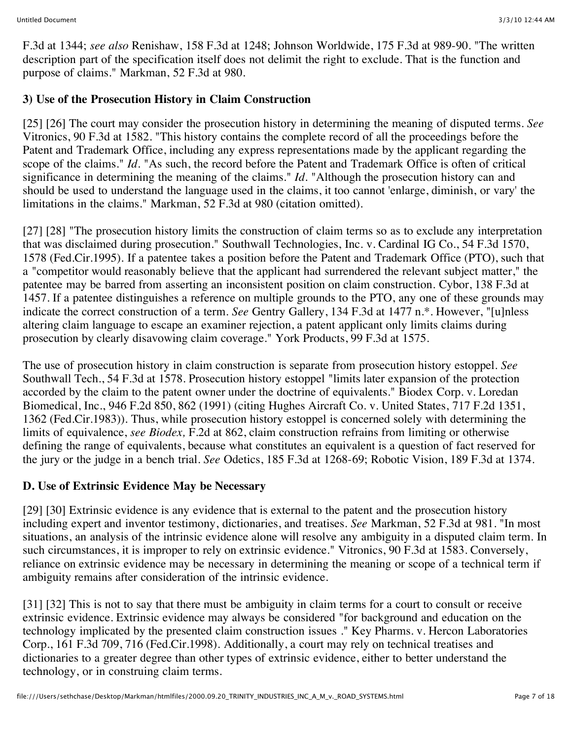F.3d at 1344; *see also* Renishaw, 158 F.3d at 1248; Johnson Worldwide, 175 F.3d at 989-90. "The written description part of the specification itself does not delimit the right to exclude. That is the function and purpose of claims." Markman, 52 F.3d at 980.

## **3) Use of the Prosecution History in Claim Construction**

[25] [26] The court may consider the prosecution history in determining the meaning of disputed terms. *See* Vitronics, 90 F.3d at 1582. "This history contains the complete record of all the proceedings before the Patent and Trademark Office, including any express representations made by the applicant regarding the scope of the claims." *Id.* "As such, the record before the Patent and Trademark Office is often of critical significance in determining the meaning of the claims." *Id.* "Although the prosecution history can and should be used to understand the language used in the claims, it too cannot 'enlarge, diminish, or vary' the limitations in the claims." Markman, 52 F.3d at 980 (citation omitted).

[27] [28] "The prosecution history limits the construction of claim terms so as to exclude any interpretation that was disclaimed during prosecution." Southwall Technologies, Inc. v. Cardinal IG Co., 54 F.3d 1570, 1578 (Fed.Cir.1995). If a patentee takes a position before the Patent and Trademark Office (PTO), such that a "competitor would reasonably believe that the applicant had surrendered the relevant subject matter," the patentee may be barred from asserting an inconsistent position on claim construction. Cybor, 138 F.3d at 1457. If a patentee distinguishes a reference on multiple grounds to the PTO, any one of these grounds may indicate the correct construction of a term. *See* Gentry Gallery, 134 F.3d at 1477 n.\*. However, "[u]nless altering claim language to escape an examiner rejection, a patent applicant only limits claims during prosecution by clearly disavowing claim coverage." York Products, 99 F.3d at 1575.

The use of prosecution history in claim construction is separate from prosecution history estoppel. *See* Southwall Tech., 54 F.3d at 1578. Prosecution history estoppel "limits later expansion of the protection accorded by the claim to the patent owner under the doctrine of equivalents." Biodex Corp. v. Loredan Biomedical, Inc., 946 F.2d 850, 862 (1991) (citing Hughes Aircraft Co. v. United States, 717 F.2d 1351, 1362 (Fed.Cir.1983)). Thus, while prosecution history estoppel is concerned solely with determining the limits of equivalence, *see Biodex,* F.2d at 862, claim construction refrains from limiting or otherwise defining the range of equivalents, because what constitutes an equivalent is a question of fact reserved for the jury or the judge in a bench trial. *See* Odetics, 185 F.3d at 1268-69; Robotic Vision, 189 F.3d at 1374.

### **D. Use of Extrinsic Evidence May be Necessary**

[29] [30] Extrinsic evidence is any evidence that is external to the patent and the prosecution history including expert and inventor testimony, dictionaries, and treatises. *See* Markman, 52 F.3d at 981. "In most situations, an analysis of the intrinsic evidence alone will resolve any ambiguity in a disputed claim term. In such circumstances, it is improper to rely on extrinsic evidence." Vitronics, 90 F.3d at 1583. Conversely, reliance on extrinsic evidence may be necessary in determining the meaning or scope of a technical term if ambiguity remains after consideration of the intrinsic evidence.

[31] [32] This is not to say that there must be ambiguity in claim terms for a court to consult or receive extrinsic evidence. Extrinsic evidence may always be considered "for background and education on the technology implicated by the presented claim construction issues ." Key Pharms. v. Hercon Laboratories Corp., 161 F.3d 709, 716 (Fed.Cir.1998). Additionally, a court may rely on technical treatises and dictionaries to a greater degree than other types of extrinsic evidence, either to better understand the technology, or in construing claim terms.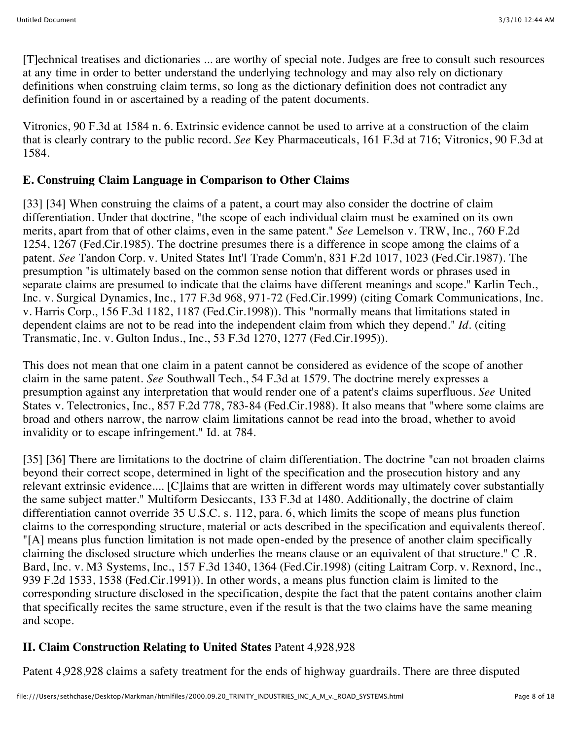[T]echnical treatises and dictionaries ... are worthy of special note. Judges are free to consult such resources at any time in order to better understand the underlying technology and may also rely on dictionary definitions when construing claim terms, so long as the dictionary definition does not contradict any definition found in or ascertained by a reading of the patent documents.

Vitronics, 90 F.3d at 1584 n. 6. Extrinsic evidence cannot be used to arrive at a construction of the claim that is clearly contrary to the public record. *See* Key Pharmaceuticals, 161 F.3d at 716; Vitronics, 90 F.3d at 1584.

## **E. Construing Claim Language in Comparison to Other Claims**

[33] [34] When construing the claims of a patent, a court may also consider the doctrine of claim differentiation. Under that doctrine, "the scope of each individual claim must be examined on its own merits, apart from that of other claims, even in the same patent." *See* Lemelson v. TRW, Inc., 760 F.2d 1254, 1267 (Fed.Cir.1985). The doctrine presumes there is a difference in scope among the claims of a patent. *See* Tandon Corp. v. United States Int'l Trade Comm'n, 831 F.2d 1017, 1023 (Fed.Cir.1987). The presumption "is ultimately based on the common sense notion that different words or phrases used in separate claims are presumed to indicate that the claims have different meanings and scope." Karlin Tech., Inc. v. Surgical Dynamics, Inc., 177 F.3d 968, 971-72 (Fed.Cir.1999) (citing Comark Communications, Inc. v. Harris Corp., 156 F.3d 1182, 1187 (Fed.Cir.1998)). This "normally means that limitations stated in dependent claims are not to be read into the independent claim from which they depend." *Id.* (citing Transmatic, Inc. v. Gulton Indus., Inc., 53 F.3d 1270, 1277 (Fed.Cir.1995)).

This does not mean that one claim in a patent cannot be considered as evidence of the scope of another claim in the same patent. *See* Southwall Tech., 54 F.3d at 1579. The doctrine merely expresses a presumption against any interpretation that would render one of a patent's claims superfluous. *See* United States v. Telectronics, Inc., 857 F.2d 778, 783-84 (Fed.Cir.1988). It also means that "where some claims are broad and others narrow, the narrow claim limitations cannot be read into the broad, whether to avoid invalidity or to escape infringement." Id. at 784.

[35] [36] There are limitations to the doctrine of claim differentiation. The doctrine "can not broaden claims beyond their correct scope, determined in light of the specification and the prosecution history and any relevant extrinsic evidence.... [C]laims that are written in different words may ultimately cover substantially the same subject matter." Multiform Desiccants, 133 F.3d at 1480. Additionally, the doctrine of claim differentiation cannot override 35 U.S.C. s. 112, para. 6, which limits the scope of means plus function claims to the corresponding structure, material or acts described in the specification and equivalents thereof. "[A] means plus function limitation is not made open-ended by the presence of another claim specifically claiming the disclosed structure which underlies the means clause or an equivalent of that structure." C .R. Bard, Inc. v. M3 Systems, Inc., 157 F.3d 1340, 1364 (Fed.Cir.1998) (citing Laitram Corp. v. Rexnord, Inc., 939 F.2d 1533, 1538 (Fed.Cir.1991)). In other words, a means plus function claim is limited to the corresponding structure disclosed in the specification, despite the fact that the patent contains another claim that specifically recites the same structure, even if the result is that the two claims have the same meaning and scope.

# **II. Claim Construction Relating to United States** Patent 4,928,928

Patent 4,928,928 claims a safety treatment for the ends of highway guardrails. There are three disputed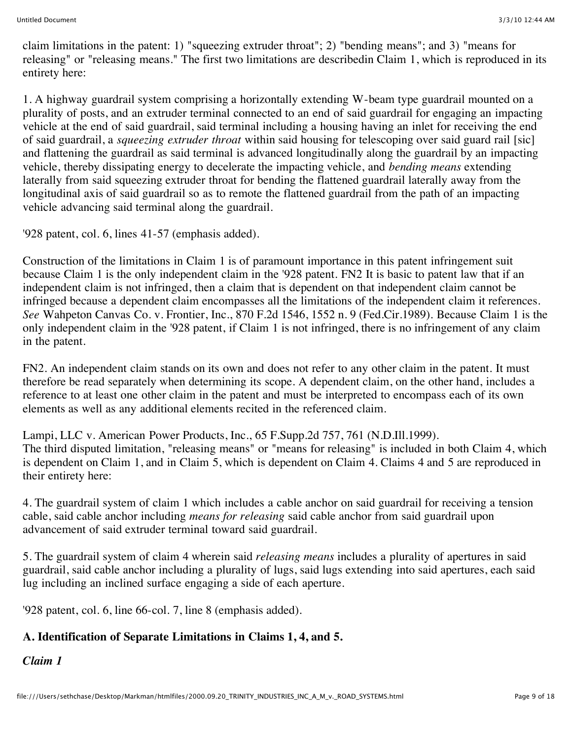claim limitations in the patent: 1) "squeezing extruder throat"; 2) "bending means"; and 3) "means for releasing" or "releasing means." The first two limitations are describedin Claim 1, which is reproduced in its entirety here:

1. A highway guardrail system comprising a horizontally extending W-beam type guardrail mounted on a plurality of posts, and an extruder terminal connected to an end of said guardrail for engaging an impacting vehicle at the end of said guardrail, said terminal including a housing having an inlet for receiving the end of said guardrail, a *squeezing extruder throat* within said housing for telescoping over said guard rail [sic] and flattening the guardrail as said terminal is advanced longitudinally along the guardrail by an impacting vehicle, thereby dissipating energy to decelerate the impacting vehicle, and *bending means* extending laterally from said squeezing extruder throat for bending the flattened guardrail laterally away from the longitudinal axis of said guardrail so as to remote the flattened guardrail from the path of an impacting vehicle advancing said terminal along the guardrail.

'928 patent, col. 6, lines 41-57 (emphasis added).

Construction of the limitations in Claim 1 is of paramount importance in this patent infringement suit because Claim 1 is the only independent claim in the '928 patent. FN2 It is basic to patent law that if an independent claim is not infringed, then a claim that is dependent on that independent claim cannot be infringed because a dependent claim encompasses all the limitations of the independent claim it references. *See* Wahpeton Canvas Co. v. Frontier, Inc., 870 F.2d 1546, 1552 n. 9 (Fed.Cir.1989). Because Claim 1 is the only independent claim in the '928 patent, if Claim 1 is not infringed, there is no infringement of any claim in the patent.

FN2. An independent claim stands on its own and does not refer to any other claim in the patent. It must therefore be read separately when determining its scope. A dependent claim, on the other hand, includes a reference to at least one other claim in the patent and must be interpreted to encompass each of its own elements as well as any additional elements recited in the referenced claim.

Lampi, LLC v. American Power Products, Inc., 65 F.Supp.2d 757, 761 (N.D.Ill.1999). The third disputed limitation, "releasing means" or "means for releasing" is included in both Claim 4, which is dependent on Claim 1, and in Claim 5, which is dependent on Claim 4. Claims 4 and 5 are reproduced in their entirety here:

4. The guardrail system of claim 1 which includes a cable anchor on said guardrail for receiving a tension cable, said cable anchor including *means for releasing* said cable anchor from said guardrail upon advancement of said extruder terminal toward said guardrail.

5. The guardrail system of claim 4 wherein said *releasing means* includes a plurality of apertures in said guardrail, said cable anchor including a plurality of lugs, said lugs extending into said apertures, each said lug including an inclined surface engaging a side of each aperture.

'928 patent, col. 6, line 66-col. 7, line 8 (emphasis added).

# **A. Identification of Separate Limitations in Claims 1, 4, and 5.**

*Claim 1*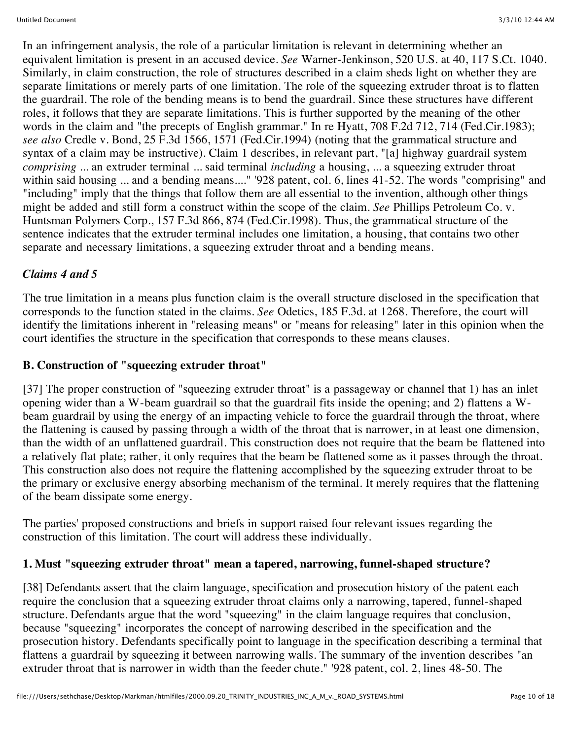In an infringement analysis, the role of a particular limitation is relevant in determining whether an equivalent limitation is present in an accused device. *See* Warner-Jenkinson, 520 U.S. at 40, 117 S.Ct. 1040. Similarly, in claim construction, the role of structures described in a claim sheds light on whether they are separate limitations or merely parts of one limitation. The role of the squeezing extruder throat is to flatten the guardrail. The role of the bending means is to bend the guardrail. Since these structures have different roles, it follows that they are separate limitations. This is further supported by the meaning of the other words in the claim and "the precepts of English grammar." In re Hyatt, 708 F.2d 712, 714 (Fed.Cir.1983); *see also* Credle v. Bond, 25 F.3d 1566, 1571 (Fed.Cir.1994) (noting that the grammatical structure and syntax of a claim may be instructive). Claim 1 describes, in relevant part, "[a] highway guardrail system *comprising* ... an extruder terminal ... said terminal *including* a housing, ... a squeezing extruder throat within said housing ... and a bending means...." '928 patent, col. 6, lines 41-52. The words "comprising" and "including" imply that the things that follow them are all essential to the invention, although other things might be added and still form a construct within the scope of the claim. *See* Phillips Petroleum Co. v. Huntsman Polymers Corp., 157 F.3d 866, 874 (Fed.Cir.1998). Thus, the grammatical structure of the sentence indicates that the extruder terminal includes one limitation, a housing, that contains two other separate and necessary limitations, a squeezing extruder throat and a bending means.

## *Claims 4 and 5*

The true limitation in a means plus function claim is the overall structure disclosed in the specification that corresponds to the function stated in the claims. *See* Odetics, 185 F.3d. at 1268. Therefore, the court will identify the limitations inherent in "releasing means" or "means for releasing" later in this opinion when the court identifies the structure in the specification that corresponds to these means clauses.

## **B. Construction of "squeezing extruder throat"**

[37] The proper construction of "squeezing extruder throat" is a passageway or channel that 1) has an inlet opening wider than a W-beam guardrail so that the guardrail fits inside the opening; and 2) flattens a Wbeam guardrail by using the energy of an impacting vehicle to force the guardrail through the throat, where the flattening is caused by passing through a width of the throat that is narrower, in at least one dimension, than the width of an unflattened guardrail. This construction does not require that the beam be flattened into a relatively flat plate; rather, it only requires that the beam be flattened some as it passes through the throat. This construction also does not require the flattening accomplished by the squeezing extruder throat to be the primary or exclusive energy absorbing mechanism of the terminal. It merely requires that the flattening of the beam dissipate some energy.

The parties' proposed constructions and briefs in support raised four relevant issues regarding the construction of this limitation. The court will address these individually.

## **1. Must "squeezing extruder throat" mean a tapered, narrowing, funnel-shaped structure?**

[38] Defendants assert that the claim language, specification and prosecution history of the patent each require the conclusion that a squeezing extruder throat claims only a narrowing, tapered, funnel-shaped structure. Defendants argue that the word "squeezing" in the claim language requires that conclusion, because "squeezing" incorporates the concept of narrowing described in the specification and the prosecution history. Defendants specifically point to language in the specification describing a terminal that flattens a guardrail by squeezing it between narrowing walls. The summary of the invention describes "an extruder throat that is narrower in width than the feeder chute." '928 patent, col. 2, lines 48-50. The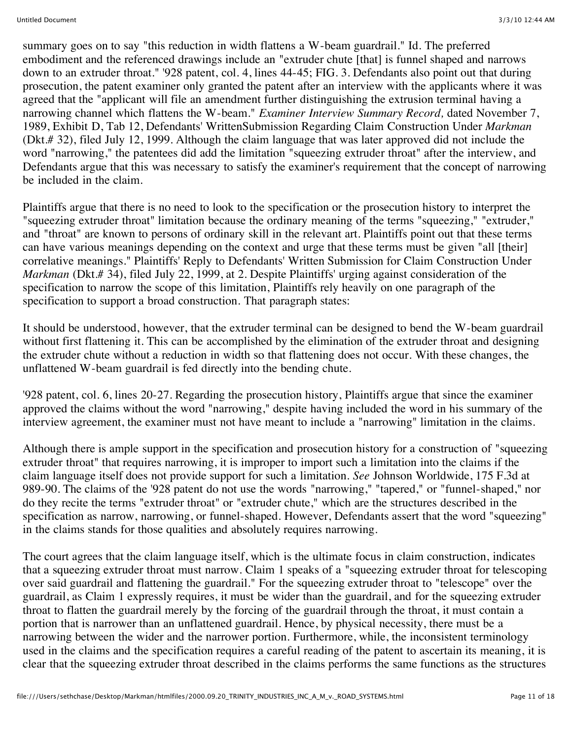summary goes on to say "this reduction in width flattens a W-beam guardrail." Id. The preferred embodiment and the referenced drawings include an "extruder chute [that] is funnel shaped and narrows down to an extruder throat." '928 patent, col. 4, lines 44-45; FIG. 3. Defendants also point out that during prosecution, the patent examiner only granted the patent after an interview with the applicants where it was agreed that the "applicant will file an amendment further distinguishing the extrusion terminal having a narrowing channel which flattens the W-beam." *Examiner Interview Summary Record,* dated November 7, 1989, Exhibit D, Tab 12, Defendants' WrittenSubmission Regarding Claim Construction Under *Markman* (Dkt.# 32), filed July 12, 1999. Although the claim language that was later approved did not include the word "narrowing," the patentees did add the limitation "squeezing extruder throat" after the interview, and Defendants argue that this was necessary to satisfy the examiner's requirement that the concept of narrowing be included in the claim.

Plaintiffs argue that there is no need to look to the specification or the prosecution history to interpret the "squeezing extruder throat" limitation because the ordinary meaning of the terms "squeezing," "extruder," and "throat" are known to persons of ordinary skill in the relevant art. Plaintiffs point out that these terms can have various meanings depending on the context and urge that these terms must be given "all [their] correlative meanings." Plaintiffs' Reply to Defendants' Written Submission for Claim Construction Under *Markman* (Dkt.# 34), filed July 22, 1999, at 2. Despite Plaintiffs' urging against consideration of the specification to narrow the scope of this limitation, Plaintiffs rely heavily on one paragraph of the specification to support a broad construction. That paragraph states:

It should be understood, however, that the extruder terminal can be designed to bend the W-beam guardrail without first flattening it. This can be accomplished by the elimination of the extruder throat and designing the extruder chute without a reduction in width so that flattening does not occur. With these changes, the unflattened W-beam guardrail is fed directly into the bending chute.

'928 patent, col. 6, lines 20-27. Regarding the prosecution history, Plaintiffs argue that since the examiner approved the claims without the word "narrowing," despite having included the word in his summary of the interview agreement, the examiner must not have meant to include a "narrowing" limitation in the claims.

Although there is ample support in the specification and prosecution history for a construction of "squeezing extruder throat" that requires narrowing, it is improper to import such a limitation into the claims if the claim language itself does not provide support for such a limitation. *See* Johnson Worldwide, 175 F.3d at 989-90. The claims of the '928 patent do not use the words "narrowing," "tapered," or "funnel-shaped," nor do they recite the terms "extruder throat" or "extruder chute," which are the structures described in the specification as narrow, narrowing, or funnel-shaped. However, Defendants assert that the word "squeezing" in the claims stands for those qualities and absolutely requires narrowing.

The court agrees that the claim language itself, which is the ultimate focus in claim construction, indicates that a squeezing extruder throat must narrow. Claim 1 speaks of a "squeezing extruder throat for telescoping over said guardrail and flattening the guardrail." For the squeezing extruder throat to "telescope" over the guardrail, as Claim 1 expressly requires, it must be wider than the guardrail, and for the squeezing extruder throat to flatten the guardrail merely by the forcing of the guardrail through the throat, it must contain a portion that is narrower than an unflattened guardrail. Hence, by physical necessity, there must be a narrowing between the wider and the narrower portion. Furthermore, while, the inconsistent terminology used in the claims and the specification requires a careful reading of the patent to ascertain its meaning, it is clear that the squeezing extruder throat described in the claims performs the same functions as the structures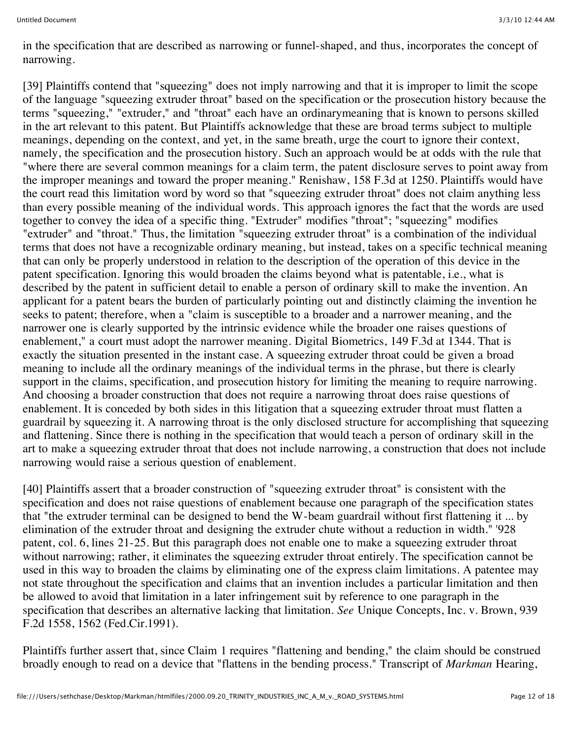in the specification that are described as narrowing or funnel-shaped, and thus, incorporates the concept of narrowing.

[39] Plaintiffs contend that "squeezing" does not imply narrowing and that it is improper to limit the scope of the language "squeezing extruder throat" based on the specification or the prosecution history because the terms "squeezing," "extruder," and "throat" each have an ordinarymeaning that is known to persons skilled in the art relevant to this patent. But Plaintiffs acknowledge that these are broad terms subject to multiple meanings, depending on the context, and yet, in the same breath, urge the court to ignore their context, namely, the specification and the prosecution history. Such an approach would be at odds with the rule that "where there are several common meanings for a claim term, the patent disclosure serves to point away from the improper meanings and toward the proper meaning." Renishaw, 158 F.3d at 1250. Plaintiffs would have the court read this limitation word by word so that "squeezing extruder throat" does not claim anything less than every possible meaning of the individual words. This approach ignores the fact that the words are used together to convey the idea of a specific thing. "Extruder" modifies "throat"; "squeezing" modifies "extruder" and "throat." Thus, the limitation "squeezing extruder throat" is a combination of the individual terms that does not have a recognizable ordinary meaning, but instead, takes on a specific technical meaning that can only be properly understood in relation to the description of the operation of this device in the patent specification. Ignoring this would broaden the claims beyond what is patentable, i.e., what is described by the patent in sufficient detail to enable a person of ordinary skill to make the invention. An applicant for a patent bears the burden of particularly pointing out and distinctly claiming the invention he seeks to patent; therefore, when a "claim is susceptible to a broader and a narrower meaning, and the narrower one is clearly supported by the intrinsic evidence while the broader one raises questions of enablement," a court must adopt the narrower meaning. Digital Biometrics, 149 F.3d at 1344. That is exactly the situation presented in the instant case. A squeezing extruder throat could be given a broad meaning to include all the ordinary meanings of the individual terms in the phrase, but there is clearly support in the claims, specification, and prosecution history for limiting the meaning to require narrowing. And choosing a broader construction that does not require a narrowing throat does raise questions of enablement. It is conceded by both sides in this litigation that a squeezing extruder throat must flatten a guardrail by squeezing it. A narrowing throat is the only disclosed structure for accomplishing that squeezing and flattening. Since there is nothing in the specification that would teach a person of ordinary skill in the art to make a squeezing extruder throat that does not include narrowing, a construction that does not include narrowing would raise a serious question of enablement.

[40] Plaintiffs assert that a broader construction of "squeezing extruder throat" is consistent with the specification and does not raise questions of enablement because one paragraph of the specification states that "the extruder terminal can be designed to bend the W-beam guardrail without first flattening it ... by elimination of the extruder throat and designing the extruder chute without a reduction in width." '928 patent, col. 6, lines 21-25. But this paragraph does not enable one to make a squeezing extruder throat without narrowing; rather, it eliminates the squeezing extruder throat entirely. The specification cannot be used in this way to broaden the claims by eliminating one of the express claim limitations. A patentee may not state throughout the specification and claims that an invention includes a particular limitation and then be allowed to avoid that limitation in a later infringement suit by reference to one paragraph in the specification that describes an alternative lacking that limitation. *See* Unique Concepts, Inc. v. Brown, 939 F.2d 1558, 1562 (Fed.Cir.1991).

Plaintiffs further assert that, since Claim 1 requires "flattening and bending," the claim should be construed broadly enough to read on a device that "flattens in the bending process." Transcript of *Markman* Hearing,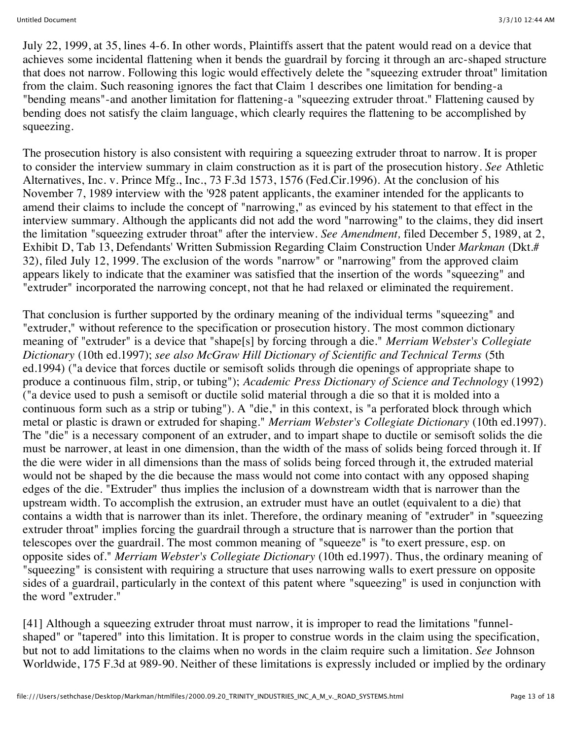July 22, 1999, at 35, lines 4-6. In other words, Plaintiffs assert that the patent would read on a device that achieves some incidental flattening when it bends the guardrail by forcing it through an arc-shaped structure that does not narrow. Following this logic would effectively delete the "squeezing extruder throat" limitation from the claim. Such reasoning ignores the fact that Claim 1 describes one limitation for bending-a "bending means"-and another limitation for flattening-a "squeezing extruder throat." Flattening caused by bending does not satisfy the claim language, which clearly requires the flattening to be accomplished by squeezing.

The prosecution history is also consistent with requiring a squeezing extruder throat to narrow. It is proper to consider the interview summary in claim construction as it is part of the prosecution history. *See* Athletic Alternatives, Inc. v. Prince Mfg., Inc., 73 F.3d 1573, 1576 (Fed.Cir.1996). At the conclusion of his November 7, 1989 interview with the '928 patent applicants, the examiner intended for the applicants to amend their claims to include the concept of "narrowing," as evinced by his statement to that effect in the interview summary. Although the applicants did not add the word "narrowing" to the claims, they did insert the limitation "squeezing extruder throat" after the interview. *See Amendment,* filed December 5, 1989, at 2, Exhibit D, Tab 13, Defendants' Written Submission Regarding Claim Construction Under *Markman* (Dkt.# 32), filed July 12, 1999. The exclusion of the words "narrow" or "narrowing" from the approved claim appears likely to indicate that the examiner was satisfied that the insertion of the words "squeezing" and "extruder" incorporated the narrowing concept, not that he had relaxed or eliminated the requirement.

That conclusion is further supported by the ordinary meaning of the individual terms "squeezing" and "extruder," without reference to the specification or prosecution history. The most common dictionary meaning of "extruder" is a device that "shape[s] by forcing through a die." *Merriam Webster's Collegiate Dictionary* (10th ed.1997); *see also McGraw Hill Dictionary of Scientific and Technical Terms* (5th ed.1994) ("a device that forces ductile or semisoft solids through die openings of appropriate shape to produce a continuous film, strip, or tubing"); *Academic Press Dictionary of Science and Technology* (1992) ("a device used to push a semisoft or ductile solid material through a die so that it is molded into a continuous form such as a strip or tubing"). A "die," in this context, is "a perforated block through which metal or plastic is drawn or extruded for shaping." *Merriam Webster's Collegiate Dictionary* (10th ed.1997). The "die" is a necessary component of an extruder, and to impart shape to ductile or semisoft solids the die must be narrower, at least in one dimension, than the width of the mass of solids being forced through it. If the die were wider in all dimensions than the mass of solids being forced through it, the extruded material would not be shaped by the die because the mass would not come into contact with any opposed shaping edges of the die. "Extruder" thus implies the inclusion of a downstream width that is narrower than the upstream width. To accomplish the extrusion, an extruder must have an outlet (equivalent to a die) that contains a width that is narrower than its inlet. Therefore, the ordinary meaning of "extruder" in "squeezing extruder throat" implies forcing the guardrail through a structure that is narrower than the portion that telescopes over the guardrail. The most common meaning of "squeeze" is "to exert pressure, esp. on opposite sides of." *Merriam Webster's Collegiate Dictionary* (10th ed.1997). Thus, the ordinary meaning of "squeezing" is consistent with requiring a structure that uses narrowing walls to exert pressure on opposite sides of a guardrail, particularly in the context of this patent where "squeezing" is used in conjunction with the word "extruder."

[41] Although a squeezing extruder throat must narrow, it is improper to read the limitations "funnelshaped" or "tapered" into this limitation. It is proper to construe words in the claim using the specification, but not to add limitations to the claims when no words in the claim require such a limitation. *See* Johnson Worldwide, 175 F.3d at 989-90. Neither of these limitations is expressly included or implied by the ordinary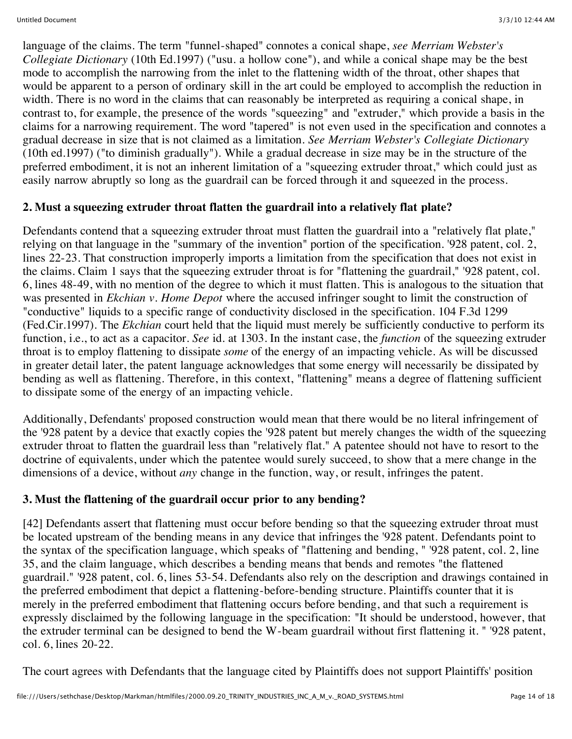language of the claims. The term "funnel-shaped" connotes a conical shape, *see Merriam Webster's Collegiate Dictionary* (10th Ed.1997) ("usu. a hollow cone"), and while a conical shape may be the best mode to accomplish the narrowing from the inlet to the flattening width of the throat, other shapes that would be apparent to a person of ordinary skill in the art could be employed to accomplish the reduction in width. There is no word in the claims that can reasonably be interpreted as requiring a conical shape, in contrast to, for example, the presence of the words "squeezing" and "extruder," which provide a basis in the claims for a narrowing requirement. The word "tapered" is not even used in the specification and connotes a gradual decrease in size that is not claimed as a limitation. *See Merriam Webster's Collegiate Dictionary* (10th ed.1997) ("to diminish gradually"). While a gradual decrease in size may be in the structure of the preferred embodiment, it is not an inherent limitation of a "squeezing extruder throat," which could just as easily narrow abruptly so long as the guardrail can be forced through it and squeezed in the process.

## **2. Must a squeezing extruder throat flatten the guardrail into a relatively flat plate?**

Defendants contend that a squeezing extruder throat must flatten the guardrail into a "relatively flat plate," relying on that language in the "summary of the invention" portion of the specification. '928 patent, col. 2, lines 22-23. That construction improperly imports a limitation from the specification that does not exist in the claims. Claim 1 says that the squeezing extruder throat is for "flattening the guardrail," '928 patent, col. 6, lines 48-49, with no mention of the degree to which it must flatten. This is analogous to the situation that was presented in *Ekchian v. Home Depot* where the accused infringer sought to limit the construction of "conductive" liquids to a specific range of conductivity disclosed in the specification. 104 F.3d 1299 (Fed.Cir.1997). The *Ekchian* court held that the liquid must merely be sufficiently conductive to perform its function, i.e., to act as a capacitor. *See* id. at 1303. In the instant case, the *function* of the squeezing extruder throat is to employ flattening to dissipate *some* of the energy of an impacting vehicle. As will be discussed in greater detail later, the patent language acknowledges that some energy will necessarily be dissipated by bending as well as flattening. Therefore, in this context, "flattening" means a degree of flattening sufficient to dissipate some of the energy of an impacting vehicle.

Additionally, Defendants' proposed construction would mean that there would be no literal infringement of the '928 patent by a device that exactly copies the '928 patent but merely changes the width of the squeezing extruder throat to flatten the guardrail less than "relatively flat." A patentee should not have to resort to the doctrine of equivalents, under which the patentee would surely succeed, to show that a mere change in the dimensions of a device, without *any* change in the function, way, or result, infringes the patent.

# **3. Must the flattening of the guardrail occur prior to any bending?**

[42] Defendants assert that flattening must occur before bending so that the squeezing extruder throat must be located upstream of the bending means in any device that infringes the '928 patent. Defendants point to the syntax of the specification language, which speaks of "flattening and bending, " '928 patent, col. 2, line 35, and the claim language, which describes a bending means that bends and remotes "the flattened guardrail." '928 patent, col. 6, lines 53-54. Defendants also rely on the description and drawings contained in the preferred embodiment that depict a flattening-before-bending structure. Plaintiffs counter that it is merely in the preferred embodiment that flattening occurs before bending, and that such a requirement is expressly disclaimed by the following language in the specification: "It should be understood, however, that the extruder terminal can be designed to bend the W-beam guardrail without first flattening it. " '928 patent, col. 6, lines 20-22.

The court agrees with Defendants that the language cited by Plaintiffs does not support Plaintiffs' position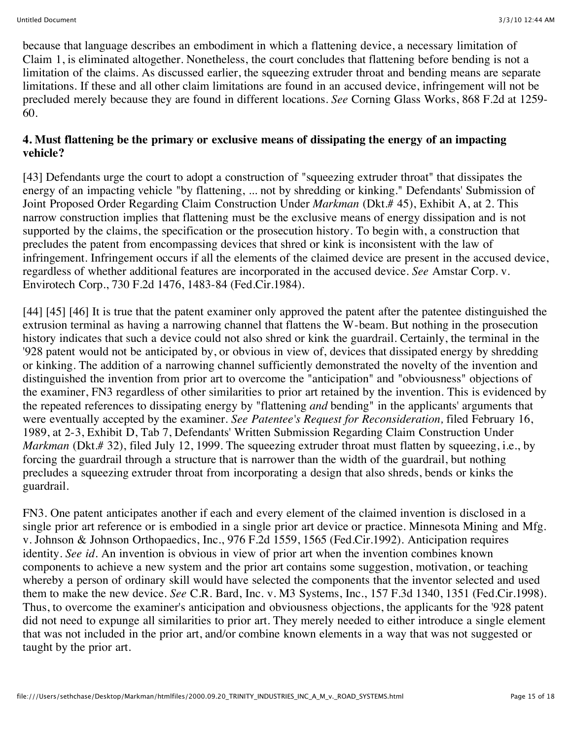because that language describes an embodiment in which a flattening device, a necessary limitation of Claim 1, is eliminated altogether. Nonetheless, the court concludes that flattening before bending is not a limitation of the claims. As discussed earlier, the squeezing extruder throat and bending means are separate limitations. If these and all other claim limitations are found in an accused device, infringement will not be precluded merely because they are found in different locations. *See* Corning Glass Works, 868 F.2d at 1259- 60.

### **4. Must flattening be the primary or exclusive means of dissipating the energy of an impacting vehicle?**

[43] Defendants urge the court to adopt a construction of "squeezing extruder throat" that dissipates the energy of an impacting vehicle "by flattening, ... not by shredding or kinking." Defendants' Submission of Joint Proposed Order Regarding Claim Construction Under *Markman* (Dkt.# 45), Exhibit A, at 2. This narrow construction implies that flattening must be the exclusive means of energy dissipation and is not supported by the claims, the specification or the prosecution history. To begin with, a construction that precludes the patent from encompassing devices that shred or kink is inconsistent with the law of infringement. Infringement occurs if all the elements of the claimed device are present in the accused device, regardless of whether additional features are incorporated in the accused device. *See* Amstar Corp. v. Envirotech Corp., 730 F.2d 1476, 1483-84 (Fed.Cir.1984).

[44] [45] [46] It is true that the patent examiner only approved the patent after the patentee distinguished the extrusion terminal as having a narrowing channel that flattens the W-beam. But nothing in the prosecution history indicates that such a device could not also shred or kink the guardrail. Certainly, the terminal in the '928 patent would not be anticipated by, or obvious in view of, devices that dissipated energy by shredding or kinking. The addition of a narrowing channel sufficiently demonstrated the novelty of the invention and distinguished the invention from prior art to overcome the "anticipation" and "obviousness" objections of the examiner, FN3 regardless of other similarities to prior art retained by the invention. This is evidenced by the repeated references to dissipating energy by "flattening *and* bending" in the applicants' arguments that were eventually accepted by the examiner. *See Patentee's Request for Reconsideration,* filed February 16, 1989, at 2-3, Exhibit D, Tab 7, Defendants' Written Submission Regarding Claim Construction Under *Markman* (Dkt.# 32), filed July 12, 1999. The squeezing extruder throat must flatten by squeezing, i.e., by forcing the guardrail through a structure that is narrower than the width of the guardrail, but nothing precludes a squeezing extruder throat from incorporating a design that also shreds, bends or kinks the guardrail.

FN3. One patent anticipates another if each and every element of the claimed invention is disclosed in a single prior art reference or is embodied in a single prior art device or practice. Minnesota Mining and Mfg. v. Johnson & Johnson Orthopaedics, Inc., 976 F.2d 1559, 1565 (Fed.Cir.1992). Anticipation requires identity. *See id.* An invention is obvious in view of prior art when the invention combines known components to achieve a new system and the prior art contains some suggestion, motivation, or teaching whereby a person of ordinary skill would have selected the components that the inventor selected and used them to make the new device. *See* C.R. Bard, Inc. v. M3 Systems, Inc., 157 F.3d 1340, 1351 (Fed.Cir.1998). Thus, to overcome the examiner's anticipation and obviousness objections, the applicants for the '928 patent did not need to expunge all similarities to prior art. They merely needed to either introduce a single element that was not included in the prior art, and/or combine known elements in a way that was not suggested or taught by the prior art.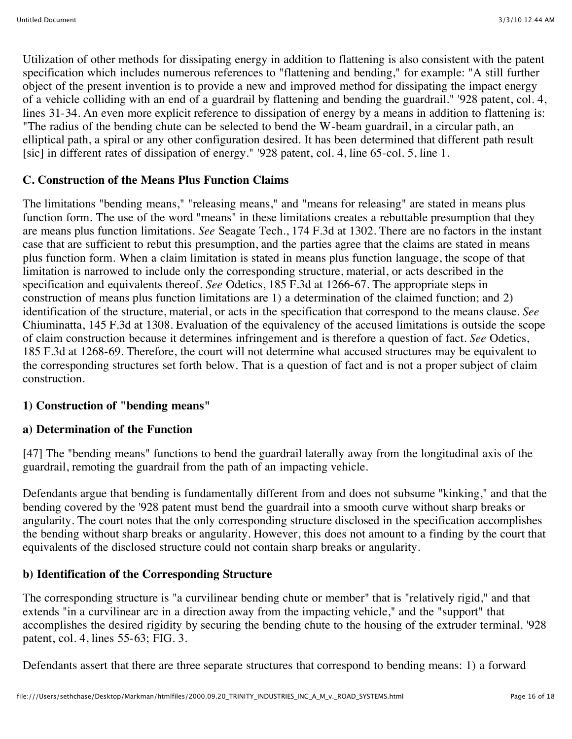Utilization of other methods for dissipating energy in addition to flattening is also consistent with the patent specification which includes numerous references to "flattening and bending," for example: "A still further object of the present invention is to provide a new and improved method for dissipating the impact energy of a vehicle colliding with an end of a guardrail by flattening and bending the guardrail." '928 patent, col. 4, lines 31-34. An even more explicit reference to dissipation of energy by a means in addition to flattening is: "The radius of the bending chute can be selected to bend the W-beam guardrail, in a circular path, an elliptical path, a spiral or any other configuration desired. It has been determined that different path result [sic] in different rates of dissipation of energy." '928 patent, col. 4, line 65-col. 5, line 1.

## **C. Construction of the Means Plus Function Claims**

The limitations "bending means," "releasing means," and "means for releasing" are stated in means plus function form. The use of the word "means" in these limitations creates a rebuttable presumption that they are means plus function limitations. *See* Seagate Tech., 174 F.3d at 1302. There are no factors in the instant case that are sufficient to rebut this presumption, and the parties agree that the claims are stated in means plus function form. When a claim limitation is stated in means plus function language, the scope of that limitation is narrowed to include only the corresponding structure, material, or acts described in the specification and equivalents thereof. *See* Odetics, 185 F.3d at 1266-67. The appropriate steps in construction of means plus function limitations are 1) a determination of the claimed function; and 2) identification of the structure, material, or acts in the specification that correspond to the means clause. *See* Chiuminatta, 145 F.3d at 1308. Evaluation of the equivalency of the accused limitations is outside the scope of claim construction because it determines infringement and is therefore a question of fact. *See* Odetics, 185 F.3d at 1268-69. Therefore, the court will not determine what accused structures may be equivalent to the corresponding structures set forth below. That is a question of fact and is not a proper subject of claim construction.

## **1) Construction of "bending means"**

### **a) Determination of the Function**

[47] The "bending means" functions to bend the guardrail laterally away from the longitudinal axis of the guardrail, remoting the guardrail from the path of an impacting vehicle.

Defendants argue that bending is fundamentally different from and does not subsume "kinking," and that the bending covered by the '928 patent must bend the guardrail into a smooth curve without sharp breaks or angularity. The court notes that the only corresponding structure disclosed in the specification accomplishes the bending without sharp breaks or angularity. However, this does not amount to a finding by the court that equivalents of the disclosed structure could not contain sharp breaks or angularity.

## **b) Identification of the Corresponding Structure**

The corresponding structure is "a curvilinear bending chute or member" that is "relatively rigid," and that extends "in a curvilinear arc in a direction away from the impacting vehicle," and the "support" that accomplishes the desired rigidity by securing the bending chute to the housing of the extruder terminal. '928 patent, col. 4, lines 55-63; FIG. 3.

Defendants assert that there are three separate structures that correspond to bending means: 1) a forward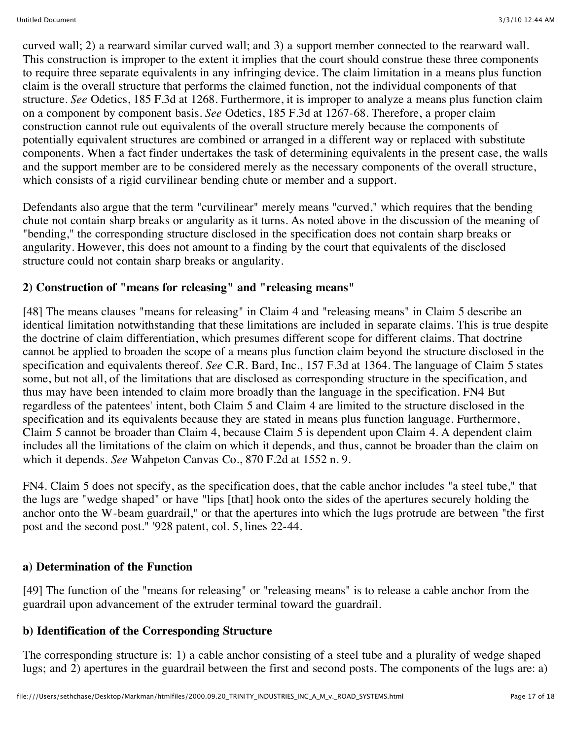curved wall; 2) a rearward similar curved wall; and 3) a support member connected to the rearward wall. This construction is improper to the extent it implies that the court should construe these three components to require three separate equivalents in any infringing device. The claim limitation in a means plus function claim is the overall structure that performs the claimed function, not the individual components of that structure. *See* Odetics, 185 F.3d at 1268. Furthermore, it is improper to analyze a means plus function claim on a component by component basis. *See* Odetics, 185 F.3d at 1267-68. Therefore, a proper claim construction cannot rule out equivalents of the overall structure merely because the components of potentially equivalent structures are combined or arranged in a different way or replaced with substitute components. When a fact finder undertakes the task of determining equivalents in the present case, the walls and the support member are to be considered merely as the necessary components of the overall structure, which consists of a rigid curvilinear bending chute or member and a support.

Defendants also argue that the term "curvilinear" merely means "curved," which requires that the bending chute not contain sharp breaks or angularity as it turns. As noted above in the discussion of the meaning of "bending," the corresponding structure disclosed in the specification does not contain sharp breaks or angularity. However, this does not amount to a finding by the court that equivalents of the disclosed structure could not contain sharp breaks or angularity.

## **2) Construction of "means for releasing" and "releasing means"**

[48] The means clauses "means for releasing" in Claim 4 and "releasing means" in Claim 5 describe an identical limitation notwithstanding that these limitations are included in separate claims. This is true despite the doctrine of claim differentiation, which presumes different scope for different claims. That doctrine cannot be applied to broaden the scope of a means plus function claim beyond the structure disclosed in the specification and equivalents thereof. *See* C.R. Bard, Inc., 157 F.3d at 1364. The language of Claim 5 states some, but not all, of the limitations that are disclosed as corresponding structure in the specification, and thus may have been intended to claim more broadly than the language in the specification. FN4 But regardless of the patentees' intent, both Claim 5 and Claim 4 are limited to the structure disclosed in the specification and its equivalents because they are stated in means plus function language. Furthermore, Claim 5 cannot be broader than Claim 4, because Claim 5 is dependent upon Claim 4. A dependent claim includes all the limitations of the claim on which it depends, and thus, cannot be broader than the claim on which it depends. *See* Wahpeton Canvas Co., 870 F.2d at 1552 n. 9.

FN4. Claim 5 does not specify, as the specification does, that the cable anchor includes "a steel tube," that the lugs are "wedge shaped" or have "lips [that] hook onto the sides of the apertures securely holding the anchor onto the W-beam guardrail," or that the apertures into which the lugs protrude are between "the first post and the second post." '928 patent, col. 5, lines 22-44.

### **a) Determination of the Function**

[49] The function of the "means for releasing" or "releasing means" is to release a cable anchor from the guardrail upon advancement of the extruder terminal toward the guardrail.

### **b) Identification of the Corresponding Structure**

The corresponding structure is: 1) a cable anchor consisting of a steel tube and a plurality of wedge shaped lugs; and 2) apertures in the guardrail between the first and second posts. The components of the lugs are: a)